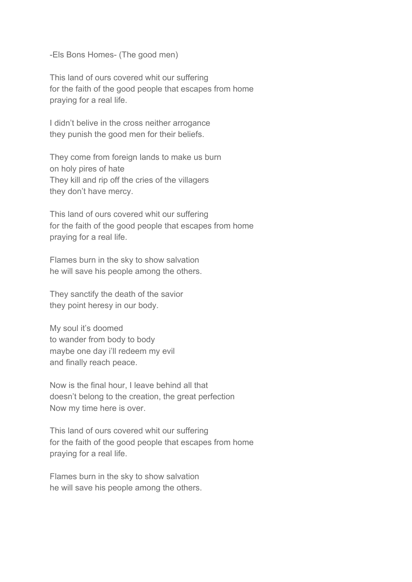-Els Bons Homes- (The good men)

This land of ours covered whit our suffering for the faith of the good people that escapes from home praying for a real life.

I didn't belive in the cross neither arrogance they punish the good men for their beliefs.

They come from foreign lands to make us burn on holy pires of hate They kill and rip off the cries of the villagers they don't have mercy.

This land of ours covered whit our suffering for the faith of the good people that escapes from home praying for a real life.

Flames burn in the sky to show salvation he will save his people among the others.

They sanctify the death of the savior they point heresy in our body.

My soul it's doomed to wander from body to body maybe one day i'll redeem my evil and finally reach peace.

Now is the final hour, I leave behind all that doesn't belong to the creation, the great perfection Now my time here is over.

This land of ours covered whit our suffering for the faith of the good people that escapes from home praying for a real life.

Flames burn in the sky to show salvation he will save his people among the others.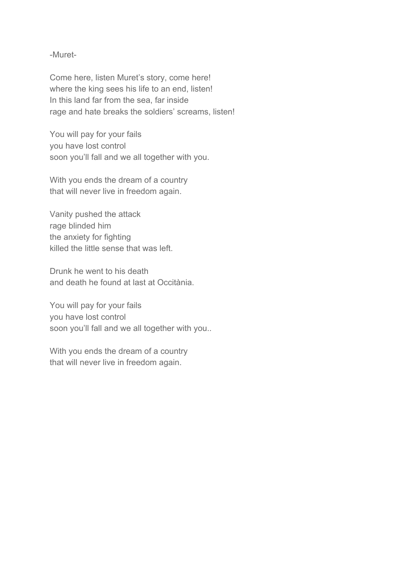-Muret-

Come here, listen Muret's story, come here! where the king sees his life to an end, listen! In this land far from the sea, far inside rage and hate breaks the soldiers' screams, listen!

You will pay for your fails you have lost control soon you'll fall and we all together with you.

With you ends the dream of a country that will never live in freedom again.

Vanity pushed the attack rage blinded him the anxiety for fighting killed the little sense that was left.

Drunk he went to his death and death he found at last at Occitània.

You will pay for your fails you have lost control soon you'll fall and we all together with you..

With you ends the dream of a country that will never live in freedom again.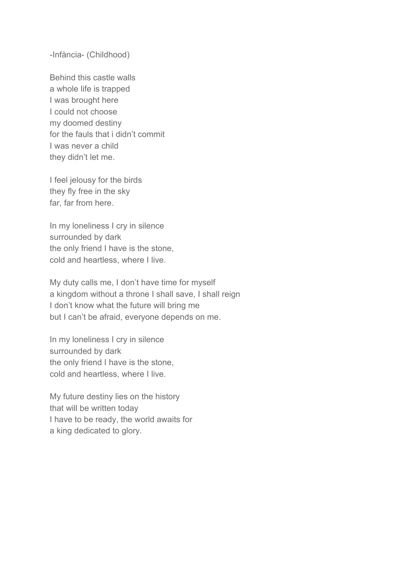-Infància- (Childhood)

Behind this castle walls a whole life is trapped I was brought here I could not choose my doomed destiny for the fauls that i didn't commit I was never a child they didn't let me.

I feel jelousy for the birds they fly free in the sky far, far from here.

In my loneliness I cry in silence surrounded by dark the only friend I have is the stone, cold and heartless, where I live.

My duty calls me, I don't have time for myself a kingdom without a throne I shall save, I shall reign I don't know what the future will bring me but I can't be afraid, everyone depends on me.

In my loneliness I cry in silence surrounded by dark the only friend I have is the stone, cold and heartless, where I live.

My future destiny lies on the history that will be written today I have to be ready, the world awaits for a king dedicated to glory.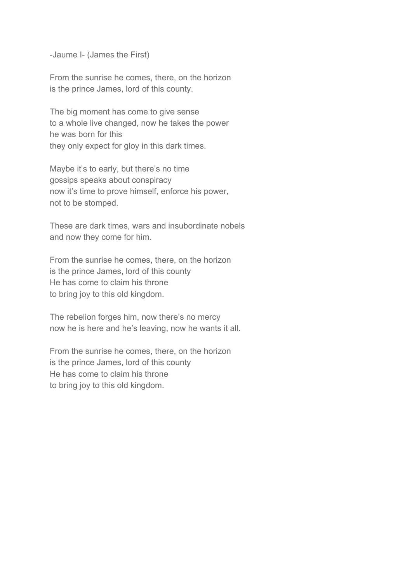-Jaume I- (James the First)

From the sunrise he comes, there, on the horizon is the prince James, lord of this county.

The big moment has come to give sense to a whole live changed, now he takes the power he was born for this they only expect for gloy in this dark times.

Maybe it's to early, but there's no time gossips speaks about conspiracy now it's time to prove himself, enforce his power, not to be stomped.

These are dark times, wars and insubordinate nobels and now they come for him.

From the sunrise he comes, there, on the horizon is the prince James, lord of this county He has come to claim his throne to bring joy to this old kingdom.

The rebelion forges him, now there's no mercy now he is here and he's leaving, now he wants it all.

From the sunrise he comes, there, on the horizon is the prince James, lord of this county He has come to claim his throne to bring joy to this old kingdom.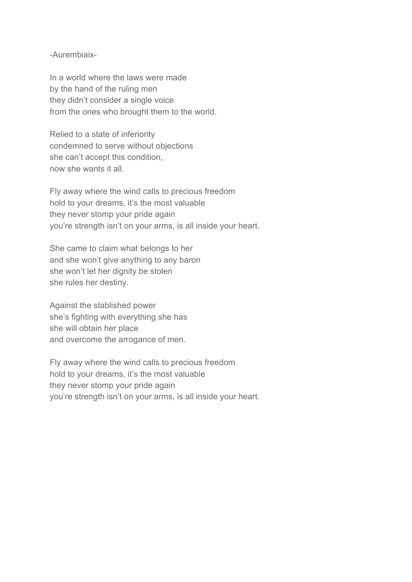-Aurembiaix-

In a world where the laws were made by the hand of the ruling men they didn't consider a single voice from the ones who brought them to the world.

Relied to a state of inferiority condemned to serve without objections she can't accept this condition, now she wants it all.

Fly away where the wind calls to precious freedom hold to your dreams, it's the most valuable they never stomp your pride again you're strength isn't on your arms, is all inside your heart.

She came to claim what belongs to her and she won't give anything to any baron she won't let her dignity be stolen she rules her destiny.

Against the stablished power she's fighting with everything she has she will obtain her place and overcome the arrogance of men.

Fly away where the wind calls to precious freedom hold to your dreams, it's the most valuable they never stomp your pride again you're strength isn't on your arms, is all inside your heart.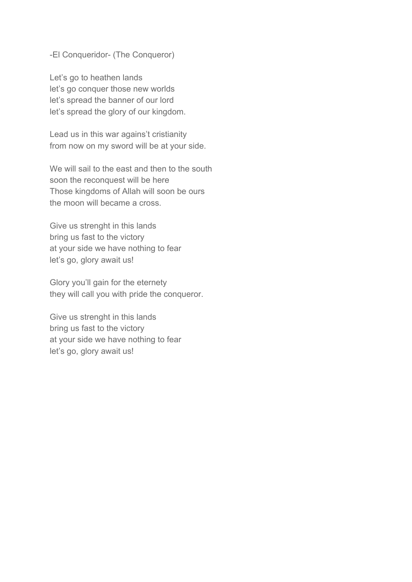-El Conqueridor- (The Conqueror)

Let's go to heathen lands let's go conquer those new worlds let's spread the banner of our lord let's spread the glory of our kingdom.

Lead us in this war agains't cristianity from now on my sword will be at your side.

We will sail to the east and then to the south soon the reconquest will be here Those kingdoms of Allah will soon be ours the moon will became a cross.

Give us strenght in this lands bring us fast to the victory at your side we have nothing to fear let's go, glory await us!

Glory you'll gain for the eternety they will call you with pride the conqueror.

Give us strenght in this lands bring us fast to the victory at your side we have nothing to fear let's go, glory await us!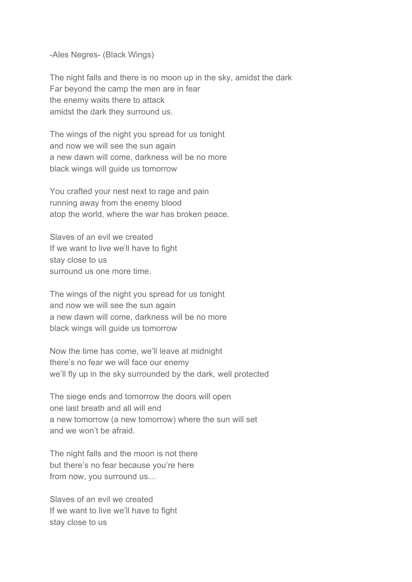-Ales Negres- (Black Wings)

The night falls and there is no moon up in the sky, amidst the dark Far beyond the camp the men are in fear the enemy waits there to attack amidst the dark they surround us.

The wings of the night you spread for us tonight and now we will see the sun again a new dawn will come, darkness will be no more black wings will guide us tomorrow

You crafted your nest next to rage and pain running away from the enemy blood atop the world, where the war has broken peace.

Slaves of an evil we created If we want to live we'll have to fight stay close to us surround us one more time.

The wings of the night you spread for us tonight and now we will see the sun again a new dawn will come, darkness will be no more black wings will guide us tomorrow

Now the time has come, we'll leave at midnight there's no fear we will face our enemy we'll fly up in the sky surrounded by the dark, well protected

The siege ends and tomorrow the doors will open one last breath and all will end a new tomorrow (a new tomorrow) where the sun will set and we won't be afraid.

The night falls and the moon is not there but there's no fear because you're here from now, you surround us…

Slaves of an evil we created If we want to live we'll have to fight stay close to us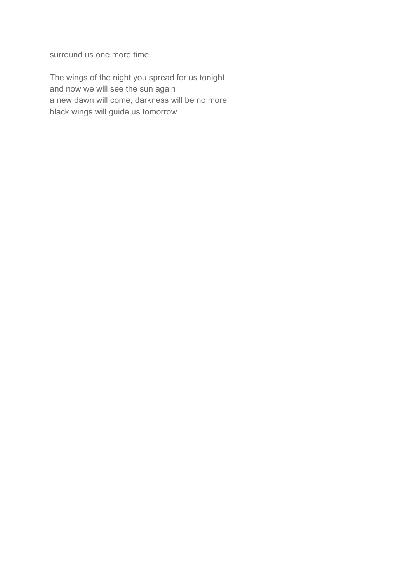surround us one more time.

The wings of the night you spread for us tonight and now we will see the sun again a new dawn will come, darkness will be no more black wings will guide us tomorrow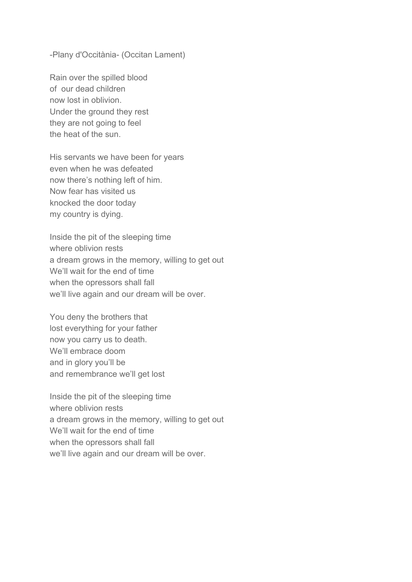-Plany d'Occitània- (Occitan Lament)

Rain over the spilled blood of our dead children now lost in oblivion. Under the ground they rest they are not going to feel the heat of the sun.

His servants we have been for years even when he was defeated now there's nothing left of him. Now fear has visited us knocked the door today my country is dying.

Inside the pit of the sleeping time where oblivion rests a dream grows in the memory, willing to get out We'll wait for the end of time when the opressors shall fall we'll live again and our dream will be over.

You deny the brothers that lost everything for your father now you carry us to death. We'll embrace doom and in glory you'll be and remembrance we'll get lost

Inside the pit of the sleeping time where oblivion rests a dream grows in the memory, willing to get out We'll wait for the end of time when the opressors shall fall we'll live again and our dream will be over.